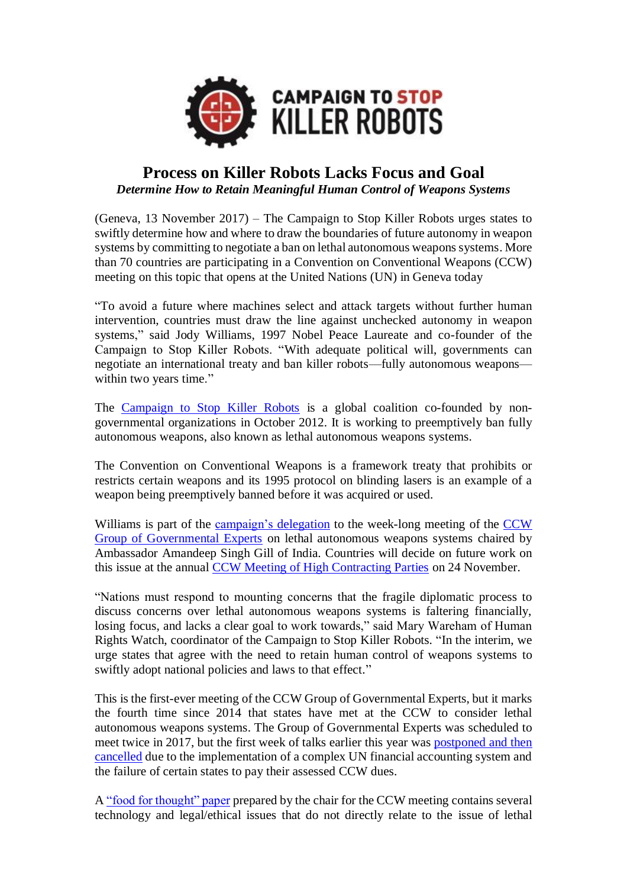

## **Process on Killer Robots Lacks Focus and Goal** *Determine How to Retain Meaningful Human Control of Weapons Systems*

(Geneva, 13 November 2017) – The Campaign to Stop Killer Robots urges states to swiftly determine how and where to draw the boundaries of future autonomy in weapon systems by committing to negotiate a ban on lethal autonomous weapons systems. More than 70 countries are participating in a Convention on Conventional Weapons (CCW) meeting on this topic that opens at the United Nations (UN) in Geneva today

"To avoid a future where machines select and attack targets without further human intervention, countries must draw the line against unchecked autonomy in weapon systems," said Jody Williams, 1997 Nobel Peace Laureate and co-founder of the Campaign to Stop Killer Robots. "With adequate political will, governments can negotiate an international treaty and ban killer robots—fully autonomous weapons within two years time."

The [Campaign to Stop Killer Robots](https://www.stopkillerrobots.org/) is a global coalition co-founded by nongovernmental organizations in October 2012. It is working to preemptively ban fully autonomous weapons, also known as lethal autonomous weapons systems.

The Convention on Conventional Weapons is a framework treaty that prohibits or restricts certain weapons and its 1995 protocol on blinding lasers is an example of a weapon being preemptively banned before it was acquired or used.

Williams is part of the [campaign's](http://www.stopkillerrobots.org/wp-content/uploads/2013/03/KRC_DelListCCW_9Novt2017_TwitterHandle.pdf) delegation to the week-long meeting of the CCW [Group of Governmental Experts](https://www.unog.ch/80256EE600585943/(httpPages)/F027DAA4966EB9C7C12580CD0039D7B5?OpenDocument) on lethal autonomous weapons systems chaired by Ambassador Amandeep Singh Gill of India. Countries will decide on future work on this issue at the annual CCW [Meeting of High Contracting Parties](https://www.unog.ch/80256EE600585943/(httpPages)/A0A0A3470E40345CC12580CD003D7927?OpenDocument) on 24 November.

"Nations must respond to mounting concerns that the fragile diplomatic process to discuss concerns over lethal autonomous weapons systems is faltering financially, losing focus, and lacks a clear goal to work towards," said Mary Wareham of Human Rights Watch, coordinator of the Campaign to Stop Killer Robots. "In the interim, we urge states that agree with the need to retain human control of weapons systems to swiftly adopt national policies and laws to that effect."

This is the first-ever meeting of the CCW Group of Governmental Experts, but it marks the fourth time since 2014 that states have met at the CCW to consider lethal autonomous weapons systems. The Group of Governmental Experts was scheduled to meet twice in 2017, but the first week of talks earlier this year was [postponed and then](https://www.stopkillerrobots.org/2017/05/diplomatsfalter/)  [cancelled](https://www.stopkillerrobots.org/2017/05/diplomatsfalter/) due to the implementation of a complex UN financial accounting system and the failure of certain states to pay their assessed CCW dues.

A ["food for thought" paper](https://www.unog.ch/80256EDD006B8954/(httpAssets)/2117A10B536751D2C1258192004FD7EA/$file/FoodforthoughtPaper_GGELAWS_Final.pdf) prepared by the chair for the CCW meeting contains several technology and legal/ethical issues that do not directly relate to the issue of lethal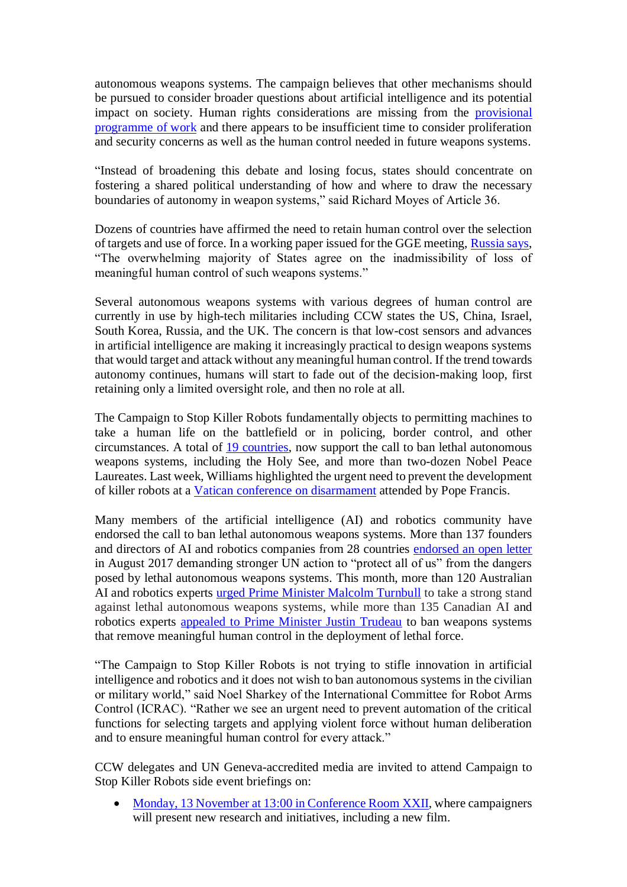autonomous weapons systems. The campaign believes that other mechanisms should be pursued to consider broader questions about artificial intelligence and its potential impact on society. Human rights considerations are missing from the [provisional](https://www.unog.ch/80256EDD006B8954/(httpAssets)/2F5362F7DB1EF1FDC12581D200555C9E/$file/PoW_Experts_GGEonLAWS.pdf)  [programme of work](https://www.unog.ch/80256EDD006B8954/(httpAssets)/2F5362F7DB1EF1FDC12581D200555C9E/$file/PoW_Experts_GGEonLAWS.pdf) and there appears to be insufficient time to consider proliferation and security concerns as well as the human control needed in future weapons systems.

"Instead of broadening this debate and losing focus, states should concentrate on fostering a shared political understanding of how and where to draw the necessary boundaries of autonomy in weapon systems," said Richard Moyes of Article 36.

Dozens of countries have affirmed the need to retain human control over the selection of targets and use of force. In a working paper issued for the GGE meeting, [Russia says,](https://www.unog.ch/80256EDD006B8954/(httpAssets)/2C67D752B299E6A7C12581D400661C98/$file/2017_GGEonLAWS_WP8_RussianFederation.pdf) "The overwhelming majority of States agree on the inadmissibility of loss of meaningful human control of such weapons systems."

Several autonomous weapons systems with various degrees of human control are currently in use by high-tech militaries including CCW states the US, China, Israel, South Korea, Russia, and the UK. The concern is that low-cost sensors and advances in artificial intelligence are making it increasingly practical to design weapons systems that would target and attack without any meaningful human control. If the trend towards autonomy continues, humans will start to fade out of the decision-making loop, first retaining only a limited oversight role, and then no role at all.

The Campaign to Stop Killer Robots fundamentally objects to permitting machines to take a human life on the battlefield or in policing, border control, and other circumstances. A total of [19 countries,](http://www.stopkillerrobots.org/wp-content/uploads/2013/03/KRC_CountryViews_May2017.pdf) now support the call to ban lethal autonomous weapons systems, including the Holy See, and more than two-dozen Nobel Peace Laureates. Last week, Williams highlighted the urgent need to prevent the development of killer robots at a [Vatican conference on disarmament](http://en.radiovaticana.va/news/2017/11/10/pope_addresses_disarmament_conference/1348154) attended by Pope Francis.

Many members of the artificial intelligence (AI) and robotics community have endorsed the call to ban lethal autonomous weapons systems. More than 137 founders and directors of AI and robotics companies from 28 countries [endorsed an open letter](https://www.cse.unsw.edu.au/~tw/ciair/open.pdf) in August 2017 demanding stronger UN action to "protect all of us" from the dangers posed by lethal autonomous weapons systems. This month, more than 120 Australian AI and robotics experts [urged Prime Minister Malcolm Turnbull](https://www.dropbox.com/sh/ujslcvq7224c1gw/AADADLoJV_NCbwcOsfI9n6wba?dl=0&preview=7+Nov+AI+Letter.pdf) to take a strong stand against lethal autonomous weapons systems, while more than 135 Canadian AI and robotics experts [appealed to Prime Minister Justin Trudeau](https://techlaw.uottawa.ca/bankillerai) to ban weapons systems that remove meaningful human control in the deployment of lethal force.

"The Campaign to Stop Killer Robots is not trying to stifle innovation in artificial intelligence and robotics and it does not wish to ban autonomous systems in the civilian or military world," said Noel Sharkey of the International Committee for Robot Arms Control (ICRAC). "Rather we see an urgent need to prevent automation of the critical functions for selecting targets and applying violent force without human deliberation and to ensure meaningful human control for every attack."

CCW delegates and UN Geneva-accredited media are invited to attend Campaign to Stop Killer Robots side event briefings on:

• [Monday, 13 November at 13:00 in Conference Room XXII,](http://www.stopkillerrobots.org/wp-content/uploads/2013/03/KRC_FlyerCCW_13Nov2017_REV.pdf) where campaigners will present new research and initiatives, including a new film.